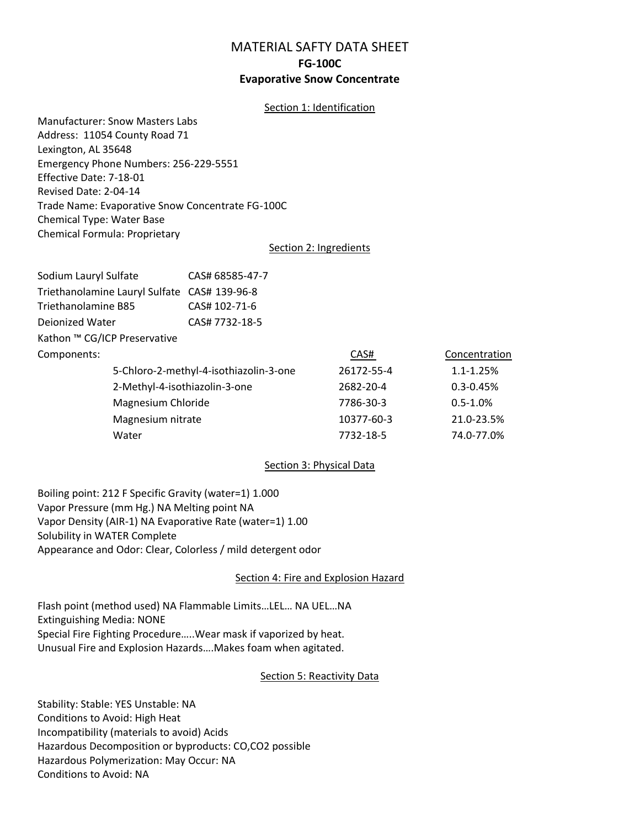# MATERIAL SAFTY DATA SHEET **FG-100C Evaporative Snow Concentrate**

#### Section 1: Identification

Manufacturer: Snow Masters Labs Address: 11054 County Road 71 Lexington, AL 35648 Emergency Phone Numbers: 256-229-5551 Effective Date: 7-18-01 Revised Date: 2-04-14 Trade Name: Evaporative Snow Concentrate FG-100C Chemical Type: Water Base Chemical Formula: Proprietary

#### Section 2: Ingredients

| Sodium Lauryl Sulfate                        |                               | CAS# 68585-47-7                        |            |               |
|----------------------------------------------|-------------------------------|----------------------------------------|------------|---------------|
| Triethanolamine Lauryl Sulfate CAS# 139-96-8 |                               |                                        |            |               |
| Triethanolamine B85                          |                               | CAS# 102-71-6                          |            |               |
| <b>Deionized Water</b>                       |                               | CAS# 7732-18-5                         |            |               |
|                                              | Kathon ™ CG/ICP Preservative  |                                        |            |               |
| Components:                                  |                               |                                        | CAS#       | Concentration |
|                                              |                               | 5-Chloro-2-methyl-4-isothiazolin-3-one | 26172-55-4 | $1.1 - 1.25%$ |
|                                              | 2-Methyl-4-isothiazolin-3-one |                                        | 2682-20-4  | $0.3 - 0.45%$ |
|                                              | Magnesium Chloride            |                                        | 7786-30-3  | $0.5 - 1.0\%$ |
|                                              | Magnesium nitrate             |                                        | 10377-60-3 | 21.0-23.5%    |
|                                              | Water                         |                                        | 7732-18-5  | 74.0-77.0%    |
|                                              |                               |                                        |            |               |

#### Section 3: Physical Data

Boiling point: 212 F Specific Gravity (water=1) 1.000 Vapor Pressure (mm Hg.) NA Melting point NA Vapor Density (AIR-1) NA Evaporative Rate (water=1) 1.00 Solubility in WATER Complete Appearance and Odor: Clear, Colorless / mild detergent odor

#### Section 4: Fire and Explosion Hazard

Flash point (method used) NA Flammable Limits…LEL… NA UEL…NA Extinguishing Media: NONE Special Fire Fighting Procedure…..Wear mask if vaporized by heat. Unusual Fire and Explosion Hazards….Makes foam when agitated.

#### **Section 5: Reactivity Data**

Stability: Stable: YES Unstable: NA Conditions to Avoid: High Heat Incompatibility (materials to avoid) Acids Hazardous Decomposition or byproducts: CO,CO2 possible Hazardous Polymerization: May Occur: NA Conditions to Avoid: NA